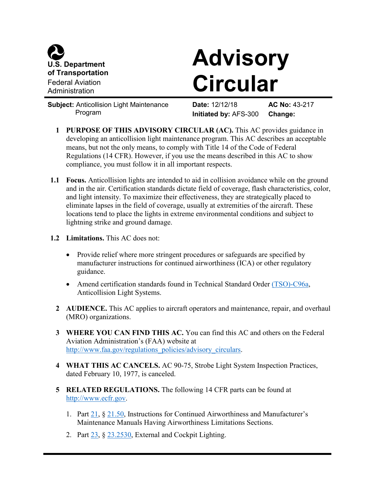

## **Advisory Circular**

**Subject:** Anticollision Light Maintenance Program

**Date:** 12/12/18 **AC No:** 43-217 **Initiated by:** AFS-300 **Change:**

- **1 PURPOSE OF THIS ADVISORY CIRCULAR (AC).** This AC provides guidance in developing an anticollision light maintenance program. This AC describes an acceptable means, but not the only means, to comply with Title 14 of the Code of Federal Regulations (14 CFR). However, if you use the means described in this AC to show compliance, you must follow it in all important respects.
- **1.1 Focus.** Anticollision lights are intended to aid in collision avoidance while on the ground and in the air. Certification standards dictate field of coverage, flash characteristics, color, and light intensity. To maximize their effectiveness, they are strategically placed to eliminate lapses in the field of coverage, usually at extremities of the aircraft. These locations tend to place the lights in extreme environmental conditions and subject to lightning strike and ground damage.
- **1.2 Limitations.** This AC does not:
	- Provide relief where more stringent procedures or safeguards are specified by manufacturer instructions for continued airworthiness (ICA) or other regulatory guidance.
	- Amend certification standards found in Technical Standard Order [\(TSO\)-C96a,](http://rgl.faa.gov/Regulatory_and_Guidance_Library/rgTSO.nsf/0/54887454079D27D786256DC60069639F?OpenDocument) Anticollision Light Systems.
	- **2 AUDIENCE.** This AC applies to aircraft operators and maintenance, repair, and overhaul (MRO) organizations.
	- **3 WHERE YOU CAN FIND THIS AC.** You can find this AC and others on the Federal Aviation Administration's (FAA) website at [http://www.faa.gov/regulations\\_policies/advisory\\_circulars.](http://www.faa.gov/regulations_policies/advisory_circulars)
	- **4 WHAT THIS AC CANCELS.** AC 90-75, Strobe Light System Inspection Practices, dated February 10, 1977, is canceled.
	- **5 RELATED REGULATIONS.** The following 14 CFR parts can be found at [http://www.ecfr.gov.](http://www.ecfr.gov/)
		- 1. Part [21,](https://www.ecfr.gov/cgi-bin/retrieveECFR?gp=&SID=6f7adf61492a21ff4fbda7fe46a53f0e&mc=true&n=pt14.1.21&r=PART&ty=HTML) § [21.50,](https://www.ecfr.gov/cgi-bin/text-idx?SID=6f7adf61492a21ff4fbda7fe46a53f0e&mc=true&node=se14.1.21_150&rgn=div8) Instructions for Continued Airworthiness and Manufacturer's Maintenance Manuals Having Airworthiness Limitations Sections.
		- 2. Part [23,](https://www.ecfr.gov/cgi-bin/text-idx?SID=a937ee269c27b645d221e0e5afc58958&mc=true&node=pt14.1.23&rgn=div5) § [23.2530,](https://www.ecfr.gov/cgi-bin/text-idx?SID=a4552d746c22ee167dcaf8fb0fe085f5&mc=true&node=se14.1.23_12530&rgn=div8) External and Cockpit Lighting.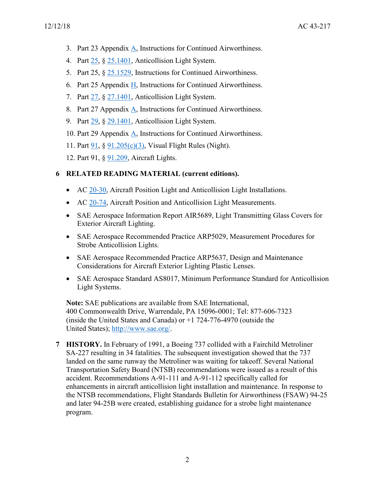- 3. Part 23 Appendix [A,](https://www.ecfr.gov/cgi-bin/text-idx?SID=2cff48e6ad4d1828fa58923ee2ade05e&mc=true&node=ap14.1.23.0000_0nbspnbspnbsp.a&rgn=div9) Instructions for Continued Airworthiness.
- 4. Part [25,](https://www.ecfr.gov/cgi-bin/text-idx?SID=6f7adf61492a21ff4fbda7fe46a53f0e&mc=true&node=pt14.1.25&rgn=div5) § [25.1401,](https://www.ecfr.gov/cgi-bin/text-idx?SID=6f7adf61492a21ff4fbda7fe46a53f0e&mc=true&node=se14.1.25_11401&rgn=div8) Anticollision Light System.
- 5. Part 25, § [25.1529,](https://www.ecfr.gov/cgi-bin/text-idx?SID=6f7adf61492a21ff4fbda7fe46a53f0e&mc=true&node=se14.1.25_11529&rgn=div8) Instructions for Continued Airworthiness.
- 6. Part 25 Appendix [H,](https://www.ecfr.gov/cgi-bin/text-idx?SID=2cff48e6ad4d1828fa58923ee2ade05e&mc=true&node=ap14.1.25.0000_0nbspnbspnbsp.h&rgn=div9) Instructions for Continued Airworthiness.
- 7. Part [27,](https://www.ecfr.gov/cgi-bin/text-idx?SID=6f7adf61492a21ff4fbda7fe46a53f0e&mc=true&node=pt14.1.27&rgn=div5) § [27.1401,](https://www.ecfr.gov/cgi-bin/text-idx?SID=6f7adf61492a21ff4fbda7fe46a53f0e&mc=true&node=se14.1.27_11401&rgn=div8) Anticollision Light System.
- 8. Part 27 Appendix [A,](https://www.ecfr.gov/cgi-bin/text-idx?SID=179ba5e10841fec86e3c2d04f9a6cb54&mc=true&node=ap14.1.27.0000_0nbspnbspnbsp.a&rgn=div9) Instructions for Continued Airworthiness.
- 9. Part [29,](https://www.ecfr.gov/cgi-bin/text-idx?SID=6f7adf61492a21ff4fbda7fe46a53f0e&mc=true&node=pt14.1.29&rgn=div5) § [29.1401,](https://www.ecfr.gov/cgi-bin/text-idx?SID=6f7adf61492a21ff4fbda7fe46a53f0e&mc=true&node=se14.1.29_11401&rgn=div8) Anticollision Light System.
- 10. Part 29 Appendix [A,](https://www.ecfr.gov/cgi-bin/text-idx?SID=2cff48e6ad4d1828fa58923ee2ade05e&mc=true&node=ap14.1.29.0000_0nbspnbspnbsp.a&rgn=div9) Instructions for Continued Airworthiness.
- 11. Part [91,](https://www.ecfr.gov/cgi-bin/text-idx?SID=4a1fa9803cbc565e56465f670c03837e&mc=true&node=pt14.2.91&rgn=div5) § [91.205\(c\)\(3\),](https://www.ecfr.gov/cgi-bin/text-idx?SID=4a1fa9803cbc565e56465f670c03837e&mc=true&node=se14.2.91_1205&rgn=div8) Visual Flight Rules (Night).
- 12. Part 91, § [91.209,](https://www.ecfr.gov/cgi-bin/text-idx?SID=4a1fa9803cbc565e56465f670c03837e&mc=true&node=se14.2.91_1209&rgn=div8) Aircraft Lights.

## **6 RELATED READING MATERIAL (current editions).**

- AC [20-30,](https://www.faa.gov/regulations_policies/advisory_circulars/index.cfm/go/document.information/documentID/22569) Aircraft Position Light and Anticollision Light Installations.
- AC [20-74,](https://www.faa.gov/regulations_policies/advisory_circulars/index.cfm/go/document.information/documentID/22032) Aircraft Position and Anticollision Light Measurements.
- SAE Aerospace Information Report AIR5689, Light Transmitting Glass Covers for Exterior Aircraft Lighting.
- SAE Aerospace Recommended Practice ARP5029, Measurement Procedures for Strobe Anticollision Lights.
- SAE Aerospace Recommended Practice ARP5637, Design and Maintenance Considerations for Aircraft Exterior Lighting Plastic Lenses.
- SAE Aerospace Standard AS8017, Minimum Performance Standard for Anticollision Light Systems.

**Note:** SAE publications are available from SAE International, 400 Commonwealth Drive, Warrendale, PA 15096-0001; Tel: 877-606-7323 (inside the United States and Canada) or +1 724-776-4970 (outside the United States); [http://www.sae.org/.](http://www.sae.org/)

**7 HISTORY.** In February of 1991, a Boeing 737 collided with a Fairchild Metroliner SA-227 resulting in 34 fatalities. The subsequent investigation showed that the 737 landed on the same runway the Metroliner was waiting for takeoff. Several National Transportation Safety Board (NTSB) recommendations were issued as a result of this accident. Recommendations A-91-111 and A-91-112 specifically called for enhancements in aircraft anticollision light installation and maintenance. In response to the NTSB recommendations, Flight Standards Bulletin for Airworthiness (FSAW) 94-25 and later 94-25B were created, establishing guidance for a strobe light maintenance program.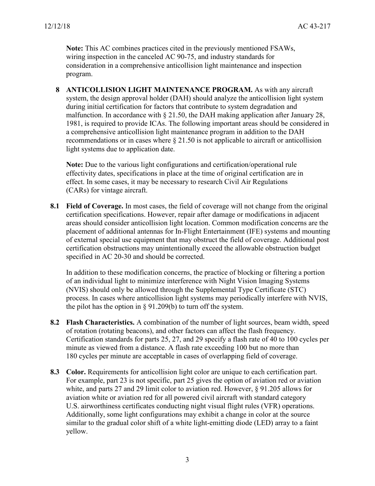**Note:** This AC combines practices cited in the previously mentioned FSAWs, wiring inspection in the canceled AC 90-75, and industry standards for consideration in a comprehensive anticollision light maintenance and inspection program.

**8 ANTICOLLISION LIGHT MAINTENANCE PROGRAM.** As with any aircraft system, the design approval holder (DAH) should analyze the anticollision light system during initial certification for factors that contribute to system degradation and malfunction. In accordance with § 21.50, the DAH making application after January 28, 1981, is required to provide ICAs. The following important areas should be considered in a comprehensive anticollision light maintenance program in addition to the DAH recommendations or in cases where § 21.50 is not applicable to aircraft or anticollision light systems due to application date.

**Note:** Due to the various light configurations and certification/operational rule effectivity dates, specifications in place at the time of original certification are in effect. In some cases, it may be necessary to research Civil Air Regulations (CARs) for vintage aircraft.

**8.1 Field of Coverage.** In most cases, the field of coverage will not change from the original certification specifications. However, repair after damage or modifications in adjacent areas should consider anticollision light location. Common modification concerns are the placement of additional antennas for In-Flight Entertainment (IFE) systems and mounting of external special use equipment that may obstruct the field of coverage. Additional post certification obstructions may unintentionally exceed the allowable obstruction budget specified in AC 20-30 and should be corrected.

In addition to these modification concerns, the practice of blocking or filtering a portion of an individual light to minimize interference with Night Vision Imaging Systems (NVIS) should only be allowed through the Supplemental Type Certificate (STC) process. In cases where anticollision light systems may periodically interfere with NVIS, the pilot has the option in § 91.209(b) to turn off the system.

- **8.2 Flash Characteristics.** A combination of the number of light sources, beam width, speed of rotation (rotating beacons), and other factors can affect the flash frequency. Certification standards for parts 25, 27, and 29 specify a flash rate of 40 to 100 cycles per minute as viewed from a distance. A flash rate exceeding 100 but no more than 180 cycles per minute are acceptable in cases of overlapping field of coverage.
- **8.3 Color.** Requirements for anticollision light color are unique to each certification part. For example, part 23 is not specific, part 25 gives the option of aviation red or aviation white, and parts 27 and 29 limit color to aviation red. However, § 91.205 allows for aviation white or aviation red for all powered civil aircraft with standard category U.S. airworthiness certificates conducting night visual flight rules (VFR) operations. Additionally, some light configurations may exhibit a change in color at the source similar to the gradual color shift of a white light-emitting diode (LED) array to a faint yellow.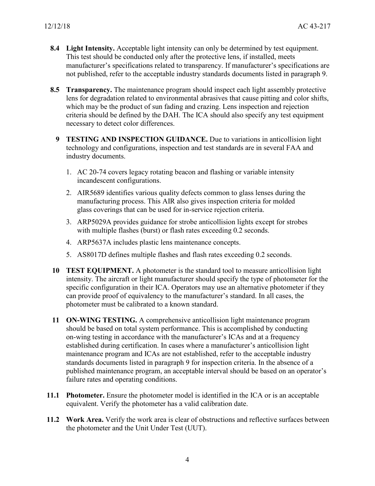- **8.4 Light Intensity.** Acceptable light intensity can only be determined by test equipment. This test should be conducted only after the protective lens, if installed, meets manufacturer's specifications related to transparency. If manufacturer's specifications are not published, refer to the acceptable industry standards documents listed in paragraph 9.
- **8.5 Transparency.** The maintenance program should inspect each light assembly protective lens for degradation related to environmental abrasives that cause pitting and color shifts, which may be the product of sun fading and crazing. Lens inspection and rejection criteria should be defined by the DAH. The ICA should also specify any test equipment necessary to detect color differences.
	- **9 TESTING AND INSPECTION GUIDANCE.** Due to variations in anticollision light technology and configurations, inspection and test standards are in several FAA and industry documents.
		- 1. AC 20-74 covers legacy rotating beacon and flashing or variable intensity incandescent configurations.
		- 2. AIR5689 identifies various quality defects common to glass lenses during the manufacturing process. This AIR also gives inspection criteria for molded glass coverings that can be used for in-service rejection criteria.
		- 3. ARP5029A provides guidance for strobe anticollision lights except for strobes with multiple flashes (burst) or flash rates exceeding 0.2 seconds.
		- 4. ARP5637A includes plastic lens maintenance concepts.
		- 5. AS8017D defines multiple flashes and flash rates exceeding 0.2 seconds.
- **10 TEST EQUIPMENT.** A photometer is the standard tool to measure anticollision light intensity. The aircraft or light manufacturer should specify the type of photometer for the specific configuration in their ICA. Operators may use an alternative photometer if they can provide proof of equivalency to the manufacturer's standard. In all cases, the photometer must be calibrated to a known standard.
- **11 ON-WING TESTING.** A comprehensive anticollision light maintenance program should be based on total system performance. This is accomplished by conducting on-wing testing in accordance with the manufacturer's ICAs and at a frequency established during certification. In cases where a manufacturer's anticollision light maintenance program and ICAs are not established, refer to the acceptable industry standards documents listed in paragraph 9 for inspection criteria. In the absence of a published maintenance program, an acceptable interval should be based on an operator's failure rates and operating conditions.
- **11.1 Photometer.** Ensure the photometer model is identified in the ICA or is an acceptable equivalent. Verify the photometer has a valid calibration date.
- **11.2 Work Area.** Verify the work area is clear of obstructions and reflective surfaces between the photometer and the Unit Under Test (UUT).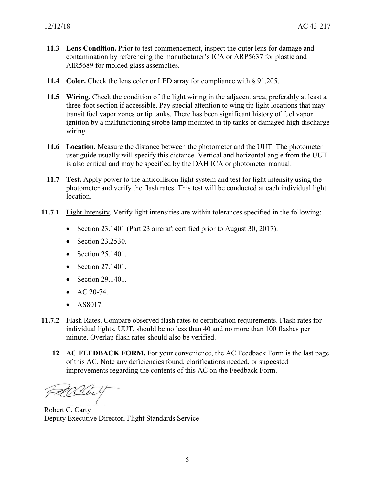- **11.3 Lens Condition.** Prior to test commencement, inspect the outer lens for damage and contamination by referencing the manufacturer's ICA or ARP5637 for plastic and AIR5689 for molded glass assemblies.
- **11.4 Color.** Check the lens color or LED array for compliance with § 91.205.
- **11.5 Wiring.** Check the condition of the light wiring in the adjacent area, preferably at least a three-foot section if accessible. Pay special attention to wing tip light locations that may transit fuel vapor zones or tip tanks. There has been significant history of fuel vapor ignition by a malfunctioning strobe lamp mounted in tip tanks or damaged high discharge wiring.
- **11.6 Location.** Measure the distance between the photometer and the UUT. The photometer user guide usually will specify this distance. Vertical and horizontal angle from the UUT is also critical and may be specified by the DAH ICA or photometer manual.
- **11.7 Test.** Apply power to the anticollision light system and test for light intensity using the photometer and verify the flash rates. This test will be conducted at each individual light location.
- **11.7.1** Light Intensity. Verify light intensities are within tolerances specified in the following:
	- Section 23.1401 (Part 23 aircraft certified prior to August 30, 2017).
	- Section 23.2530.
	- Section 25.1401.
	- Section 27.1401.
	- Section 29.1401.
	- AC  $20-74$ .
	- AS8017.
- **11.7.2** Flash Rates. Compare observed flash rates to certification requirements. Flash rates for individual lights, UUT, should be no less than 40 and no more than 100 flashes per minute. Overlap flash rates should also be verified.
	- **12 AC FEEDBACK FORM.** For your convenience, the AC Feedback Form is the last page of this AC. Note any deficiencies found, clarifications needed, or suggested improvements regarding the contents of this AC on the Feedback Form.

allent

Robert C. Carty Deputy Executive Director, Flight Standards Service